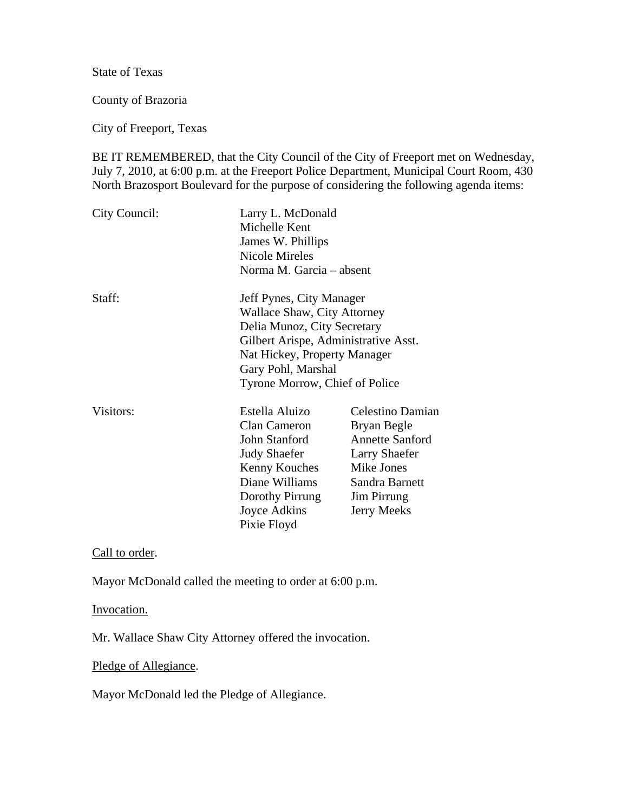State of Texas

County of Brazoria

City of Freeport, Texas

BE IT REMEMBERED, that the City Council of the City of Freeport met on Wednesday, July 7, 2010, at 6:00 p.m. at the Freeport Police Department, Municipal Court Room, 430 North Brazosport Boulevard for the purpose of considering the following agenda items:

| City Council: | Larry L. McDonald<br>Michelle Kent<br>James W. Phillips<br><b>Nicole Mireles</b><br>Norma M. Garcia – absent                                                                                                           |                                                                                                                                                 |
|---------------|------------------------------------------------------------------------------------------------------------------------------------------------------------------------------------------------------------------------|-------------------------------------------------------------------------------------------------------------------------------------------------|
| Staff:        | Jeff Pynes, City Manager<br>Wallace Shaw, City Attorney<br>Delia Munoz, City Secretary<br>Gilbert Arispe, Administrative Asst.<br>Nat Hickey, Property Manager<br>Gary Pohl, Marshal<br>Tyrone Morrow, Chief of Police |                                                                                                                                                 |
| Visitors:     | Estella Aluizo<br>Clan Cameron<br>John Stanford<br><b>Judy Shaefer</b><br>Kenny Kouches<br>Diane Williams<br>Dorothy Pirrung<br>Joyce Adkins<br>Pixie Floyd                                                            | Celestino Damian<br>Bryan Begle<br><b>Annette Sanford</b><br><b>Larry Shaefer</b><br>Mike Jones<br>Sandra Barnett<br>Jim Pirrung<br>Jerry Meeks |

Call to order.

Mayor McDonald called the meeting to order at 6:00 p.m.

Invocation.

Mr. Wallace Shaw City Attorney offered the invocation.

Pledge of Allegiance.

Mayor McDonald led the Pledge of Allegiance.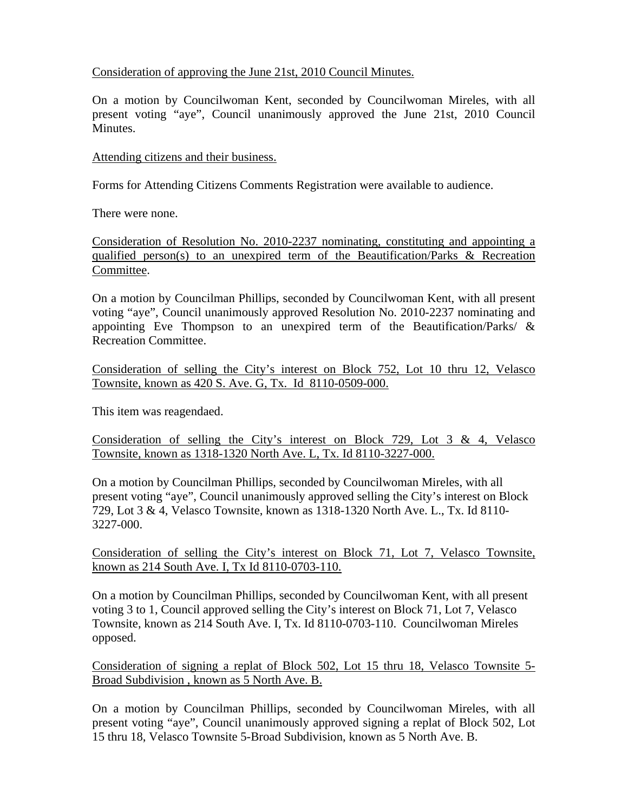# Consideration of approving the June 21st, 2010 Council Minutes.

On a motion by Councilwoman Kent, seconded by Councilwoman Mireles, with all present voting "aye", Council unanimously approved the June 21st, 2010 Council **Minutes** 

## Attending citizens and their business.

Forms for Attending Citizens Comments Registration were available to audience.

There were none.

Consideration of Resolution No. 2010-2237 nominating, constituting and appointing a qualified person(s) to an unexpired term of the Beautification/Parks & Recreation Committee.

On a motion by Councilman Phillips, seconded by Councilwoman Kent, with all present voting "aye", Council unanimously approved Resolution No. 2010-2237 nominating and appointing Eve Thompson to an unexpired term of the Beautification/Parks/ & Recreation Committee.

Consideration of selling the City's interest on Block 752, Lot 10 thru 12, Velasco Townsite, known as 420 S. Ave. G, Tx. Id 8110-0509-000.

This item was reagendaed.

Consideration of selling the City's interest on Block 729, Lot 3 & 4, Velasco Townsite, known as 1318-1320 North Ave. L, Tx. Id 8110-3227-000.

On a motion by Councilman Phillips, seconded by Councilwoman Mireles, with all present voting "aye", Council unanimously approved selling the City's interest on Block 729, Lot 3 & 4, Velasco Townsite, known as 1318-1320 North Ave. L., Tx. Id 8110- 3227-000.

Consideration of selling the City's interest on Block 71, Lot 7, Velasco Townsite, known as 214 South Ave. I, Tx Id 8110-0703-110.

On a motion by Councilman Phillips, seconded by Councilwoman Kent, with all present voting 3 to 1, Council approved selling the City's interest on Block 71, Lot 7, Velasco Townsite, known as 214 South Ave. I, Tx. Id 8110-0703-110. Councilwoman Mireles opposed.

Consideration of signing a replat of Block 502, Lot 15 thru 18, Velasco Townsite 5- Broad Subdivision , known as 5 North Ave. B.

On a motion by Councilman Phillips, seconded by Councilwoman Mireles, with all present voting "aye", Council unanimously approved signing a replat of Block 502, Lot 15 thru 18, Velasco Townsite 5-Broad Subdivision, known as 5 North Ave. B.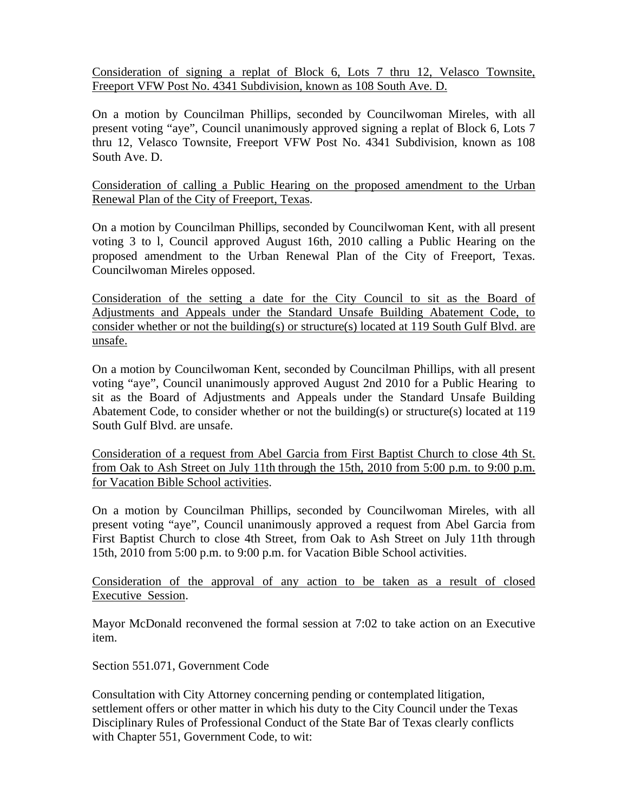Consideration of signing a replat of Block 6, Lots 7 thru 12, Velasco Townsite, Freeport VFW Post No. 4341 Subdivision, known as 108 South Ave. D.

On a motion by Councilman Phillips, seconded by Councilwoman Mireles, with all present voting "aye", Council unanimously approved signing a replat of Block 6, Lots 7 thru 12, Velasco Townsite, Freeport VFW Post No. 4341 Subdivision, known as 108 South Ave. D.

Consideration of calling a Public Hearing on the proposed amendment to the Urban Renewal Plan of the City of Freeport, Texas.

On a motion by Councilman Phillips, seconded by Councilwoman Kent, with all present voting 3 to l, Council approved August 16th, 2010 calling a Public Hearing on the proposed amendment to the Urban Renewal Plan of the City of Freeport, Texas. Councilwoman Mireles opposed.

Consideration of the setting a date for the City Council to sit as the Board of Adjustments and Appeals under the Standard Unsafe Building Abatement Code, to consider whether or not the building(s) or structure(s) located at 119 South Gulf Blvd. are unsafe.

On a motion by Councilwoman Kent, seconded by Councilman Phillips, with all present voting "aye", Council unanimously approved August 2nd 2010 for a Public Hearing to sit as the Board of Adjustments and Appeals under the Standard Unsafe Building Abatement Code, to consider whether or not the building(s) or structure(s) located at 119 South Gulf Blvd. are unsafe.

Consideration of a request from Abel Garcia from First Baptist Church to close 4th St. from Oak to Ash Street on July 11th through the 15th, 2010 from 5:00 p.m. to 9:00 p.m. for Vacation Bible School activities.

On a motion by Councilman Phillips, seconded by Councilwoman Mireles, with all present voting "aye", Council unanimously approved a request from Abel Garcia from First Baptist Church to close 4th Street, from Oak to Ash Street on July 11th through 15th, 2010 from 5:00 p.m. to 9:00 p.m. for Vacation Bible School activities.

Consideration of the approval of any action to be taken as a result of closed Executive Session.

Mayor McDonald reconvened the formal session at 7:02 to take action on an Executive item.

Section 551.071, Government Code

Consultation with City Attorney concerning pending or contemplated litigation, settlement offers or other matter in which his duty to the City Council under the Texas Disciplinary Rules of Professional Conduct of the State Bar of Texas clearly conflicts with Chapter 551, Government Code, to wit: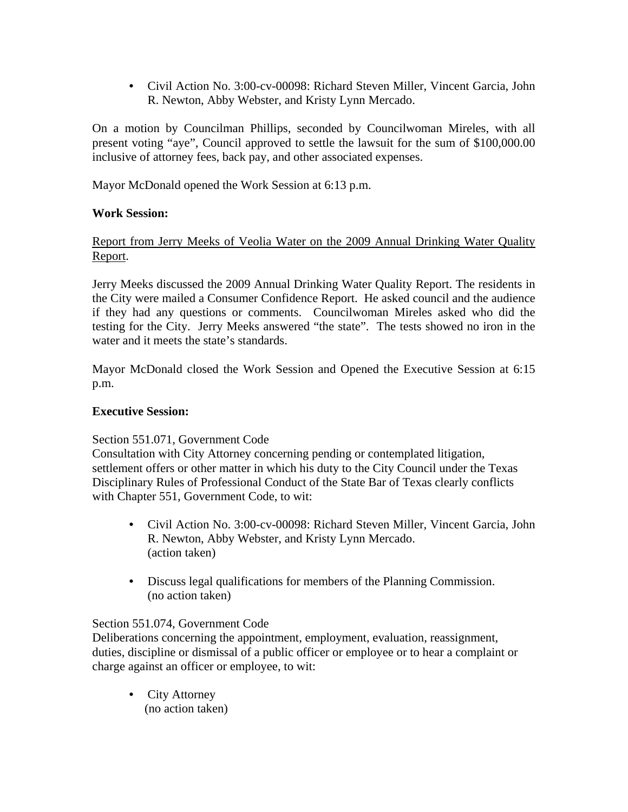• Civil Action No. 3:00-cv-00098: Richard Steven Miller, Vincent Garcia, John R. Newton, Abby Webster, and Kristy Lynn Mercado.

On a motion by Councilman Phillips, seconded by Councilwoman Mireles, with all present voting "aye", Council approved to settle the lawsuit for the sum of \$100,000.00 inclusive of attorney fees, back pay, and other associated expenses.

Mayor McDonald opened the Work Session at 6:13 p.m.

# **Work Session:**

Report from Jerry Meeks of Veolia Water on the 2009 Annual Drinking Water Quality Report.

Jerry Meeks discussed the 2009 Annual Drinking Water Quality Report. The residents in the City were mailed a Consumer Confidence Report. He asked council and the audience if they had any questions or comments. Councilwoman Mireles asked who did the testing for the City. Jerry Meeks answered "the state". The tests showed no iron in the water and it meets the state's standards.

Mayor McDonald closed the Work Session and Opened the Executive Session at 6:15 p.m.

### **Executive Session:**

### Section 551.071, Government Code

Consultation with City Attorney concerning pending or contemplated litigation, settlement offers or other matter in which his duty to the City Council under the Texas Disciplinary Rules of Professional Conduct of the State Bar of Texas clearly conflicts with Chapter 551, Government Code, to wit:

- Civil Action No. 3:00-cv-00098: Richard Steven Miller, Vincent Garcia, John R. Newton, Abby Webster, and Kristy Lynn Mercado. (action taken)
- Discuss legal qualifications for members of the Planning Commission. (no action taken)

### Section 551.074, Government Code

Deliberations concerning the appointment, employment, evaluation, reassignment, duties, discipline or dismissal of a public officer or employee or to hear a complaint or charge against an officer or employee, to wit:

• City Attorney (no action taken)